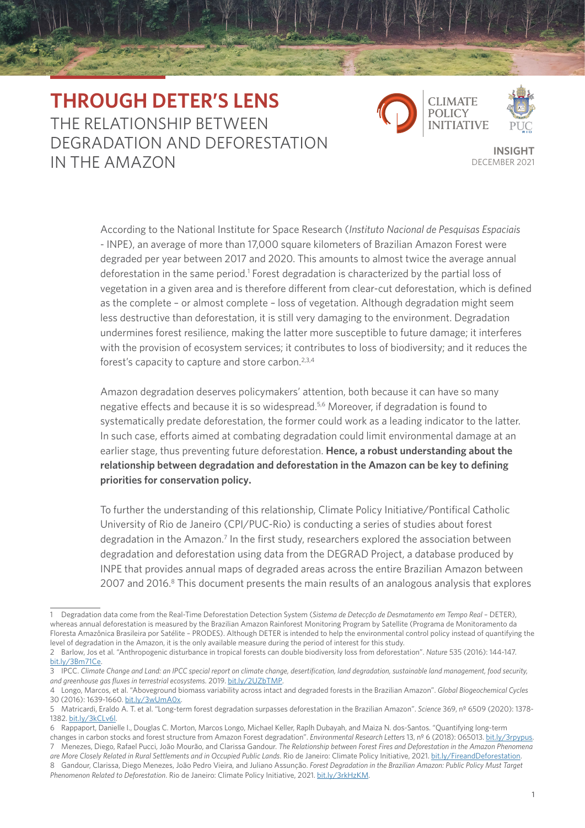## **THROUGH DETER'S LENS** THE RELATIONSHIP BETWEEN DEGRADATION AND DEFORESTATION IN THE AMAZON DECEMBER 2021





**INSIGHT**

According to the National Institute for Space Research (*Instituto Nacional de Pesquisas Espaciais*  - INPE), an average of more than 17,000 square kilometers of Brazilian Amazon Forest were degraded per year between 2017 and 2020. This amounts to almost twice the average annual deforestation in the same period.<sup>1</sup> Forest degradation is characterized by the partial loss of vegetation in a given area and is therefore different from clear-cut deforestation, which is defined as the complete – or almost complete – loss of vegetation. Although degradation might seem less destructive than deforestation, it is still very damaging to the environment. Degradation undermines forest resilience, making the latter more susceptible to future damage; it interferes with the provision of ecosystem services; it contributes to loss of biodiversity; and it reduces the forest's capacity to capture and store carbon.<sup>2,3,4</sup>

Amazon degradation deserves policymakers' attention, both because it can have so many negative effects and because it is so widespread.5,6 Moreover, if degradation is found to systematically predate deforestation, the former could work as a leading indicator to the latter. In such case, efforts aimed at combating degradation could limit environmental damage at an earlier stage, thus preventing future deforestation. **Hence, a robust understanding about the relationship between degradation and deforestation in the Amazon can be key to defining priorities for conservation policy.**

To further the understanding of this relationship, Climate Policy Initiative/Pontifical Catholic University of Rio de Janeiro (CPI/PUC-Rio) is conducting a series of studies about forest degradation in the Amazon.<sup>7</sup> In the first study, researchers explored the association between degradation and deforestation using data from the DEGRAD Project, a database produced by INPE that provides annual maps of degraded areas across the entire Brazilian Amazon between 2007 and 2016.<sup>8</sup> This document presents the main results of an analogous analysis that explores

<sup>1</sup> Degradation data come from the Real-Time Deforestation Detection System (*Sistema de Detecção de Desmatamento em Tempo Real* – DETER), whereas annual deforestation is measured by the Brazilian Amazon Rainforest Monitoring Program by Satellite (Programa de Monitoramento da Floresta Amazônica Brasileira por Satélite – PRODES). Although DETER is intended to help the environmental control policy instead of quantifying the level of degradation in the Amazon, it is the only available measure during the period of interest for this study.

<sup>2</sup> Barlow, Jos et al. "Anthropogenic disturbance in tropical forests can double biodiversity loss from deforestation". *Nature* 535 (2016): 144-147. [bit.ly/3Bm71Ce.](https://bit.ly/3Bm71Ce)

<sup>3</sup> IPCC. *Climate Change and Land: an IPCC special report on climate change, desertification, land degradation, sustainable land management, food security, and greenhouse gas fluxes in terrestrial ecosystems*. 2019. [bit.ly/2UZbTMP](https://bit.ly/2UZbTMP).

<sup>4</sup> Longo, Marcos, et al. "Aboveground biomass variability across intact and degraded forests in the Brazilian Amazon". *Global Biogeochemical Cycles* 30 (2016): 1639-1660. [bit.ly/3wUmA0x.](https://bit.ly/3wUmA0x)

<sup>5</sup> Matricardi, Eraldo A. T. et al. "Long-term forest degradation surpasses deforestation in the Brazilian Amazon". *Science* 369, nº 6509 (2020): 1378- 1382. [bit.ly/3kCLv6l.](https://bit.ly/3kCLv6l)

<sup>6</sup> Rappaport, Danielle I., Douglas C. Morton, Marcos Longo, Michael Keller, Raplh Dubayah, and Maiza N. dos-Santos. "Quantifying long-term

changes in carbon stocks and forest structure from Amazon Forest degradation". *Environmental Research Letters* 13, nº 6 (2018): 065013. [bit.ly/3rpypus](http://bit.ly/3rpypus). 7 Menezes, Diego, Rafael Pucci, João Mourão, and Clarissa Gandour. *The Relationship between Forest Fires and Deforestation in the Amazon Phenomena* 

are More Closely Related in Rural Settlements and in Occupied Public Lands. Rio de Janeiro: Climate Policy Initiative, 2021. [bit.ly/FireandDeforestation.](http://bit.ly/FireandDeforestation)

<sup>8</sup> Gandour, Clarissa, Diego Menezes, João Pedro Vieira, and Juliano Assunção. *Forest Degradation in the Brazilian Amazon: Public Policy Must Target Phenomenon Related to Deforestation*. Rio de Janeiro: Climate Policy Initiative, 2021. [bit.ly/3rkHzKM](https://bit.ly/3rkHzKM).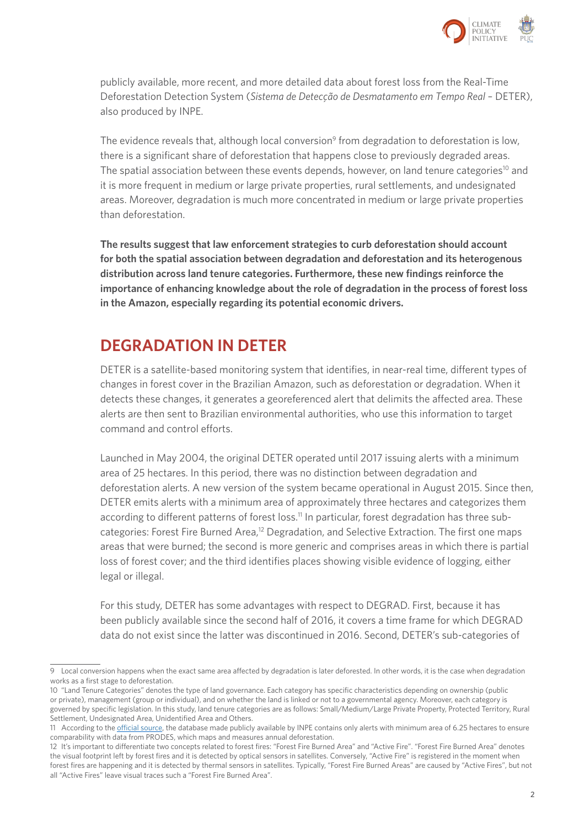

publicly available, more recent, and more detailed data about forest loss from the Real-Time Deforestation Detection System (*Sistema de Detecção de Desmatamento em Tempo Real* – DETER), also produced by INPE.

The evidence reveals that, although local conversion<sup>9</sup> from degradation to deforestation is low, there is a significant share of deforestation that happens close to previously degraded areas. The spatial association between these events depends, however, on land tenure categories<sup>10</sup> and it is more frequent in medium or large private properties, rural settlements, and undesignated areas. Moreover, degradation is much more concentrated in medium or large private properties than deforestation.

**The results suggest that law enforcement strategies to curb deforestation should account for both the spatial association between degradation and deforestation and its heterogenous distribution across land tenure categories. Furthermore, these new findings reinforce the importance of enhancing knowledge about the role of degradation in the process of forest loss in the Amazon, especially regarding its potential economic drivers.**

### **DEGRADATION IN DETER**

DETER is a satellite-based monitoring system that identifies, in near-real time, different types of changes in forest cover in the Brazilian Amazon, such as deforestation or degradation. When it detects these changes, it generates a georeferenced alert that delimits the affected area. These alerts are then sent to Brazilian environmental authorities, who use this information to target command and control efforts.

Launched in May 2004, the original DETER operated until 2017 issuing alerts with a minimum area of 25 hectares. In this period, there was no distinction between degradation and deforestation alerts. A new version of the system became operational in August 2015. Since then, DETER emits alerts with a minimum area of approximately three hectares and categorizes them according to different patterns of forest loss.<sup>11</sup> In particular, forest degradation has three subcategories: Forest Fire Burned Area,<sup>12</sup> Degradation, and Selective Extraction. The first one maps areas that were burned; the second is more generic and comprises areas in which there is partial loss of forest cover; and the third identifies places showing visible evidence of logging, either legal or illegal.

For this study, DETER has some advantages with respect to DEGRAD. First, because it has been publicly available since the second half of 2016, it covers a time frame for which DEGRAD data do not exist since the latter was discontinued in 2016. Second, DETER's sub-categories of

<sup>9</sup> Local conversion happens when the exact same area affected by degradation is later deforested. In other words, it is the case when degradation works as a first stage to deforestation.

<sup>10</sup> "Land Tenure Categories" denotes the type of land governance. Each category has specific characteristics depending on ownership (public or private), management (group or individual), and on whether the land is linked or not to a governmental agency. Moreover, each category is governed by specific legislation. In this study, land tenure categories are as follows: Small/Medium/Large Private Property, Protected Territory, Rural Settlement, Undesignated Area, Unidentified Area and Others.

<sup>11</sup> According to the [official source](http://www.obt.inpe.br/OBT/assuntos/programas/amazonia/deter/deter), the database made publicly available by INPE contains only alerts with minimum area of 6.25 hectares to ensure comparability with data from PRODES, which maps and measures annual deforestation.

<sup>12</sup> It's important to differentiate two concepts related to forest fires: "Forest Fire Burned Area" and "Active Fire". "Forest Fire Burned Area" denotes the visual footprint left by forest fires and it is detected by optical sensors in satellites. Conversely, "Active Fire" is registered in the moment when forest fires are happening and it is detected by thermal sensors in satellites. Typically, "Forest Fire Burned Areas" are caused by "Active Fires", but not all "Active Fires" leave visual traces such a "Forest Fire Burned Area".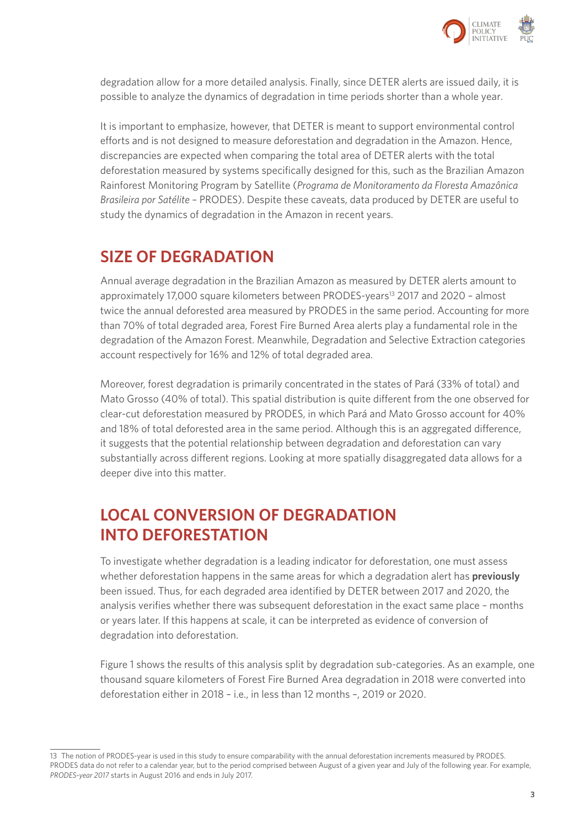

degradation allow for a more detailed analysis. Finally, since DETER alerts are issued daily, it is possible to analyze the dynamics of degradation in time periods shorter than a whole year.

It is important to emphasize, however, that DETER is meant to support environmental control efforts and is not designed to measure deforestation and degradation in the Amazon. Hence, discrepancies are expected when comparing the total area of DETER alerts with the total deforestation measured by systems specifically designed for this, such as the Brazilian Amazon Rainforest Monitoring Program by Satellite (*Programa de Monitoramento da Floresta Amazônica Brasileira por Satélite* – PRODES). Despite these caveats, data produced by DETER are useful to study the dynamics of degradation in the Amazon in recent years.

### **SIZE OF DEGRADATION**

Annual average degradation in the Brazilian Amazon as measured by DETER alerts amount to approximately 17,000 square kilometers between PRODES-years<sup>13</sup> 2017 and 2020 - almost twice the annual deforested area measured by PRODES in the same period. Accounting for more than 70% of total degraded area, Forest Fire Burned Area alerts play a fundamental role in the degradation of the Amazon Forest. Meanwhile, Degradation and Selective Extraction categories account respectively for 16% and 12% of total degraded area.

Moreover, forest degradation is primarily concentrated in the states of Pará (33% of total) and Mato Grosso (40% of total). This spatial distribution is quite different from the one observed for clear-cut deforestation measured by PRODES, in which Pará and Mato Grosso account for 40% and 18% of total deforested area in the same period. Although this is an aggregated difference, it suggests that the potential relationship between degradation and deforestation can vary substantially across different regions. Looking at more spatially disaggregated data allows for a deeper dive into this matter.

## **LOCAL CONVERSION OF DEGRADATION INTO DEFORESTATION**

To investigate whether degradation is a leading indicator for deforestation, one must assess whether deforestation happens in the same areas for which a degradation alert has **previously** been issued. Thus, for each degraded area identified by DETER between 2017 and 2020, the analysis verifies whether there was subsequent deforestation in the exact same place – months or years later. If this happens at scale, it can be interpreted as evidence of conversion of degradation into deforestation.

Figure 1 shows the results of this analysis split by degradation sub-categories. As an example, one thousand square kilometers of Forest Fire Burned Area degradation in 2018 were converted into deforestation either in 2018 – i.e., in less than 12 months –, 2019 or 2020.

<sup>13</sup> The notion of PRODES-year is used in this study to ensure comparability with the annual deforestation increments measured by PRODES. PRODES data do not refer to a calendar year, but to the period comprised between August of a given year and July of the following year. For example, *PRODES-year 2017* starts in August 2016 and ends in July 2017.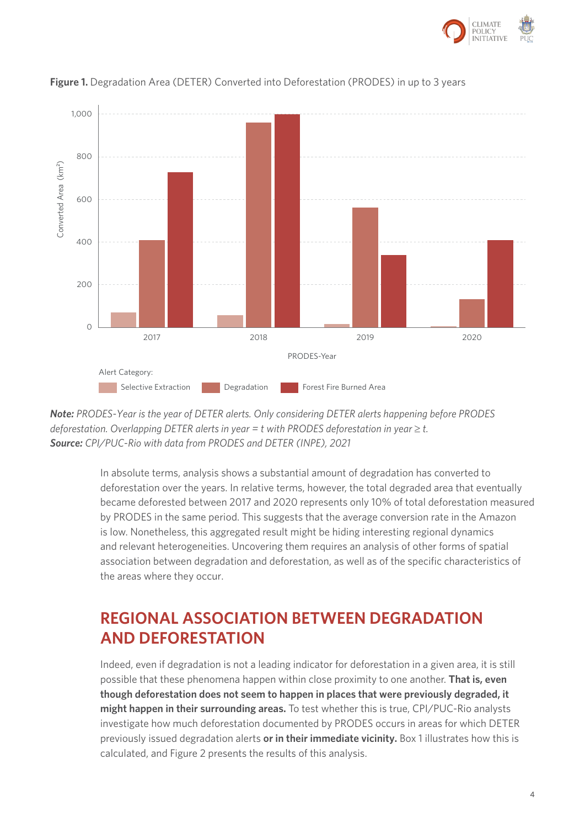



### **Figure 1.** Degradation Area (DETER) Converted into Deforestation (PRODES) in up to 3 years



In absolute terms, analysis shows a substantial amount of degradation has converted to deforestation over the years. In relative terms, however, the total degraded area that eventually became deforested between 2017 and 2020 represents only 10% of total deforestation measured by PRODES in the same period. This suggests that the average conversion rate in the Amazon is low. Nonetheless, this aggregated result might be hiding interesting regional dynamics and relevant heterogeneities. Uncovering them requires an analysis of other forms of spatial association between degradation and deforestation, as well as of the specific characteristics of the areas where they occur.

### **REGIONAL ASSOCIATION BETWEEN DEGRADATION AND DEFORESTATION**

Indeed, even if degradation is not a leading indicator for deforestation in a given area, it is still possible that these phenomena happen within close proximity to one another. **That is, even though deforestation does not seem to happen in places that were previously degraded, it might happen in their surrounding areas.** To test whether this is true, CPI/PUC-Rio analysts investigate how much deforestation documented by PRODES occurs in areas for which DETER previously issued degradation alerts **or in their immediate vicinity.** Box 1 illustrates how this is calculated, and Figure 2 presents the results of this analysis.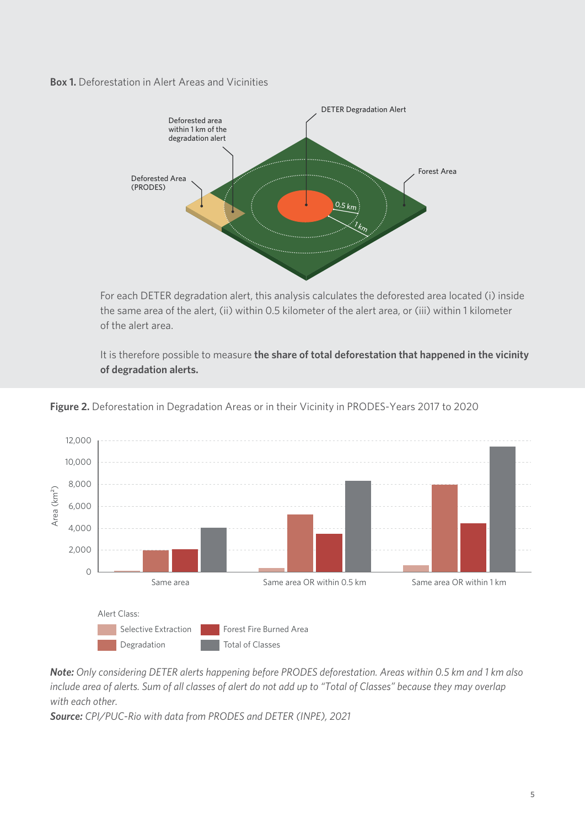**Box 1.** Deforestation in Alert Areas and Vicinities



For each DETER degradation alert, this analysis calculates the deforested area located (i) inside the same area of the alert, (ii) within 0.5 kilometer of the alert area, or (iii) within 1 kilometer of the alert area.

It is therefore possible to measure **the share of total deforestation that happened in the vicinity of degradation alerts.**



Figure 2. Deforestation in Degradation Areas or in their Vicinity in PRODES-Years 2017 to 2020

*Note: Only considering DETER alerts happening before PRODES deforestation. Areas within 0.5 km and 1 km also include area of alerts. Sum of all classes of alert do not add up to "Total of Classes" because they may overlap with each other. Note: Only considering DETER alerts happening before PRODES deforestation. Areas within 0.5 km and 1 km also include area of alerts. Sum of all classes of alert do not add up to "Total of Classes" because they may overlap* 

*Source: CPI/PUC-Rio with data from PRODES and DETER (INPE), 2021 with each other. Source: CPI/PUC-Rio with data from PRODES and DETER (INPE), 2021*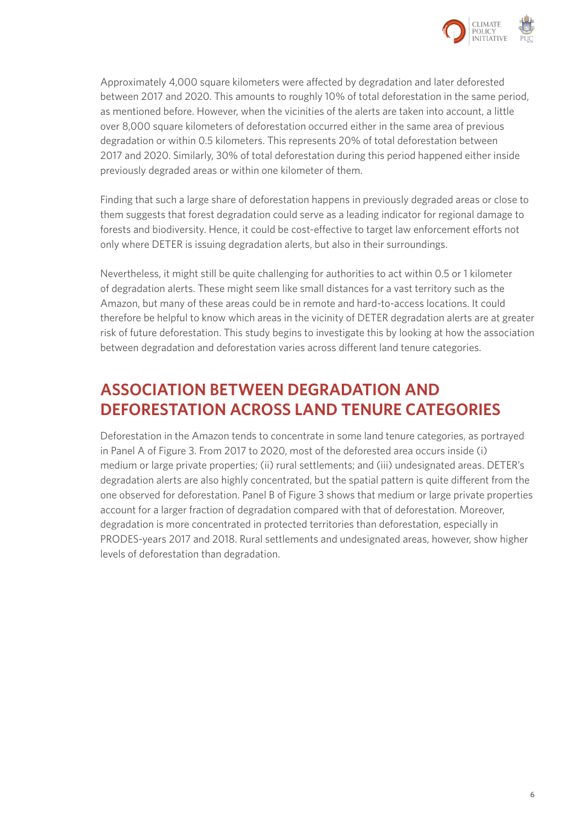

Approximately 4,000 square kilometers were affected by degradation and later deforested between 2017 and 2020. This amounts to roughly 10% of total deforestation in the same period, as mentioned before. However, when the vicinities of the alerts are taken into account, a little over 8,000 square kilometers of deforestation occurred either in the same area of previous degradation or within 0.5 kilometers. This represents 20% of total deforestation between 2017 and 2020. Similarly, 30% of total deforestation during this period happened either inside previously degraded areas or within one kilometer of them.

Finding that such a large share of deforestation happens in previously degraded areas or close to them suggests that forest degradation could serve as a leading indicator for regional damage to forests and biodiversity. Hence, it could be cost-effective to target law enforcement efforts not only where DETER is issuing degradation alerts, but also in their surroundings.

Nevertheless, it might still be quite challenging for authorities to act within 0.5 or 1 kilometer of degradation alerts. These might seem like small distances for a vast territory such as the Amazon, but many of these areas could be in remote and hard-to-access locations. It could therefore be helpful to know which areas in the vicinity of DETER degradation alerts are at greater risk of future deforestation. This study begins to investigate this by looking at how the association between degradation and deforestation varies across different land tenure categories.

### **ASSOCIATION BETWEEN DEGRADATION AND DEFORESTATION ACROSS LAND TENURE CATEGORIES**

Deforestation in the Amazon tends to concentrate in some land tenure categories, as portrayed in Panel A of Figure 3. From 2017 to 2020, most of the deforested area occurs inside (i) medium or large private properties; (ii) rural settlements; and (iii) undesignated areas. DETER's degradation alerts are also highly concentrated, but the spatial pattern is quite different from the one observed for deforestation. Panel B of Figure 3 shows that medium or large private properties account for a larger fraction of degradation compared with that of deforestation. Moreover, degradation is more concentrated in protected territories than deforestation, especially in PRODES-years 2017 and 2018. Rural settlements and undesignated areas, however, show higher levels of deforestation than degradation.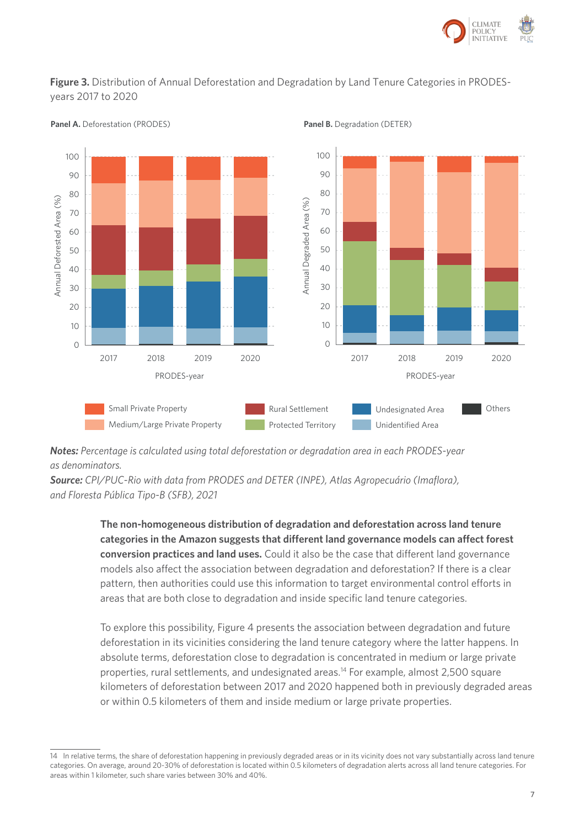

### **Figure 3.** Distribution of Annual Deforestation and Degradation by Land Tenure Categories in PRODES-**Figure 3.** Distribution of Annual Deforestation and Degradation by Land Tenure Categories in years 2017 to 2020 PRODES-years 2017 to 2020



**Panel A.** Deforestation (PRODES) **Panel B.** Degradation (DETER)

**Notes:** Percentage is calculated using total deforestation or degradation area in each PRODES-year<br>as dependingtons *as denominators.*

as achommaters.<br>**Source:** CPI/PUC-Rio with data from PRODES and DETER (INPE), Atlas Agropecuário (Imaflora), *and Floresta Pública Tipo-B (SFB), 2021 Tipo-B (SFB), 2021*

> **The non-homogeneous distribution of degradation and deforestation across land tenure categories in the Amazon suggests that different land governance models can affect forest conversion practices and land uses.** Could it also be the case that different land governance models also affect the association between degradation and deforestation? If there is a clear pattern, then authorities could use this information to target environmental control efforts in areas that are both close to degradation and inside specific land tenure categories.

To explore this possibility, Figure 4 presents the association between degradation and future deforestation in its vicinities considering the land tenure category where the latter happens. In absolute terms, deforestation close to degradation is concentrated in medium or large private properties, rural settlements, and undesignated areas.14 For example, almost 2,500 square kilometers of deforestation between 2017 and 2020 happened both in previously degraded areas or within 0.5 kilometers of them and inside medium or large private properties.

<sup>14</sup> In relative terms, the share of deforestation happening in previously degraded areas or in its vicinity does not vary substantially across land tenure categories. On average, around 20-30% of deforestation is located within 0.5 kilometers of degradation alerts across all land tenure categories. For areas within 1 kilometer, such share varies between 30% and 40%.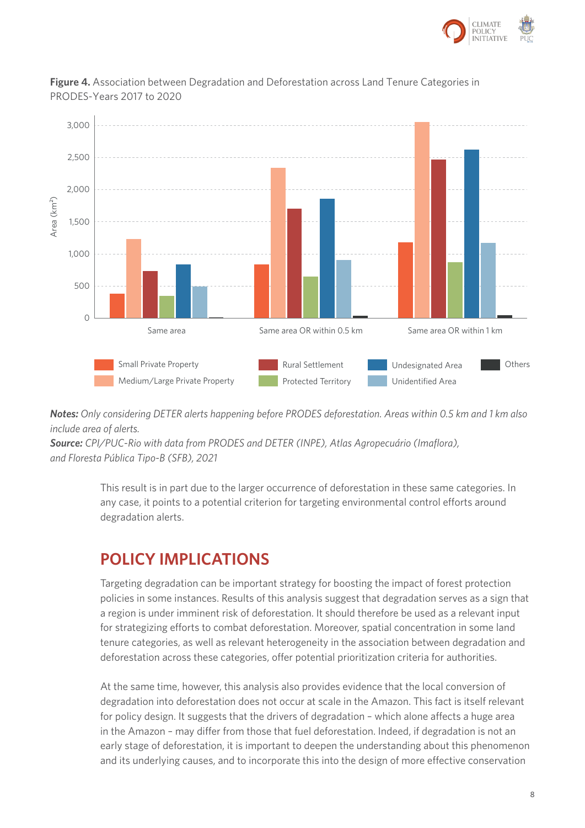



**Figure 4.** Association between Degradation and Deforestation across Land Tenure Categories in PRODES-Years 2017 to 2020

**Notes:** Only considering DETER alerts happening before PRODES deforestation. Areas within 0.5 km and 1 km also *include area of alerts.*

*source:* CPI/PUC-Rio with data from PRODES and DETER (INPE), Atlas Agropecuário (Imaflora), *and Floresta Pública Tipo-B (SFB), 2021 Pública Tipo-B (SFB), 2021***Source:** *CPI/PUC-Rio with data from PRODES and DETER (INPE), Atlas Agropecuário (Imaflora),* and Floresta **PRODES and Floresta and Floresta and Floresta and Floresta and Floresta and Floresta and Floresta and Floresta an** 

> This result is in part due to the larger occurrence of deforestation in these same categories. In any case, it points to a potential criterion for targeting environmental control efforts around degradation alerts.

### **POLICY IMPLICATIONS**

Targeting degradation can be important strategy for boosting the impact of forest protection policies in some instances. Results of this analysis suggest that degradation serves as a sign that a region is under imminent risk of deforestation. It should therefore be used as a relevant input for strategizing efforts to combat deforestation. Moreover, spatial concentration in some land tenure categories, as well as relevant heterogeneity in the association between degradation and deforestation across these categories, offer potential prioritization criteria for authorities.

At the same time, however, this analysis also provides evidence that the local conversion of degradation into deforestation does not occur at scale in the Amazon. This fact is itself relevant for policy design. It suggests that the drivers of degradation – which alone affects a huge area in the Amazon – may differ from those that fuel deforestation. Indeed, if degradation is not an early stage of deforestation, it is important to deepen the understanding about this phenomenon and its underlying causes, and to incorporate this into the design of more effective conservation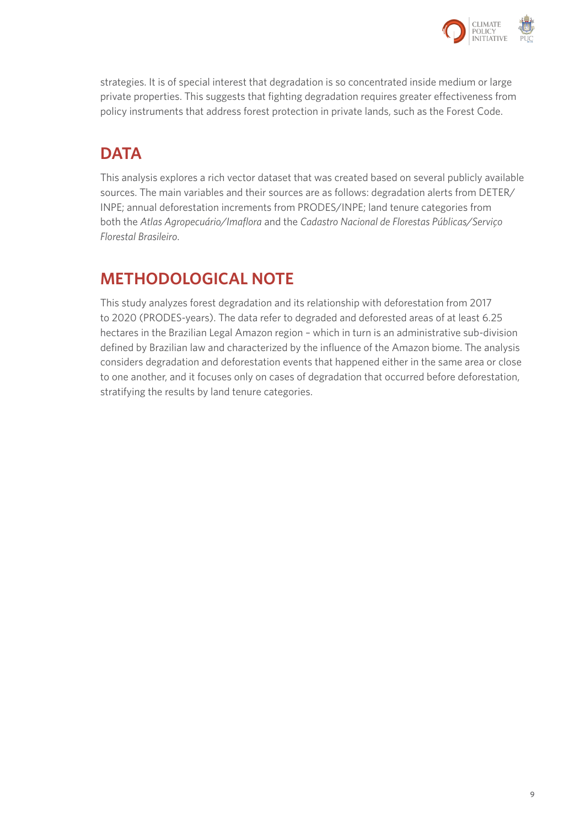

strategies. It is of special interest that degradation is so concentrated inside medium or large private properties. This suggests that fighting degradation requires greater effectiveness from policy instruments that address forest protection in private lands, such as the Forest Code.

# **DATA**

This analysis explores a rich vector dataset that was created based on several publicly available sources. The main variables and their sources are as follows: degradation alerts from DETER/ INPE; annual deforestation increments from PRODES/INPE; land tenure categories from both the *Atlas Agropecuário/Imaflora* and the *Cadastro Nacional de Florestas Públicas/Serviço Florestal Brasileiro*.

## **METHODOLOGICAL NOTE**

This study analyzes forest degradation and its relationship with deforestation from 2017 to 2020 (PRODES-years). The data refer to degraded and deforested areas of at least 6.25 hectares in the Brazilian Legal Amazon region – which in turn is an administrative sub-division defined by Brazilian law and characterized by the influence of the Amazon biome. The analysis considers degradation and deforestation events that happened either in the same area or close to one another, and it focuses only on cases of degradation that occurred before deforestation, stratifying the results by land tenure categories.